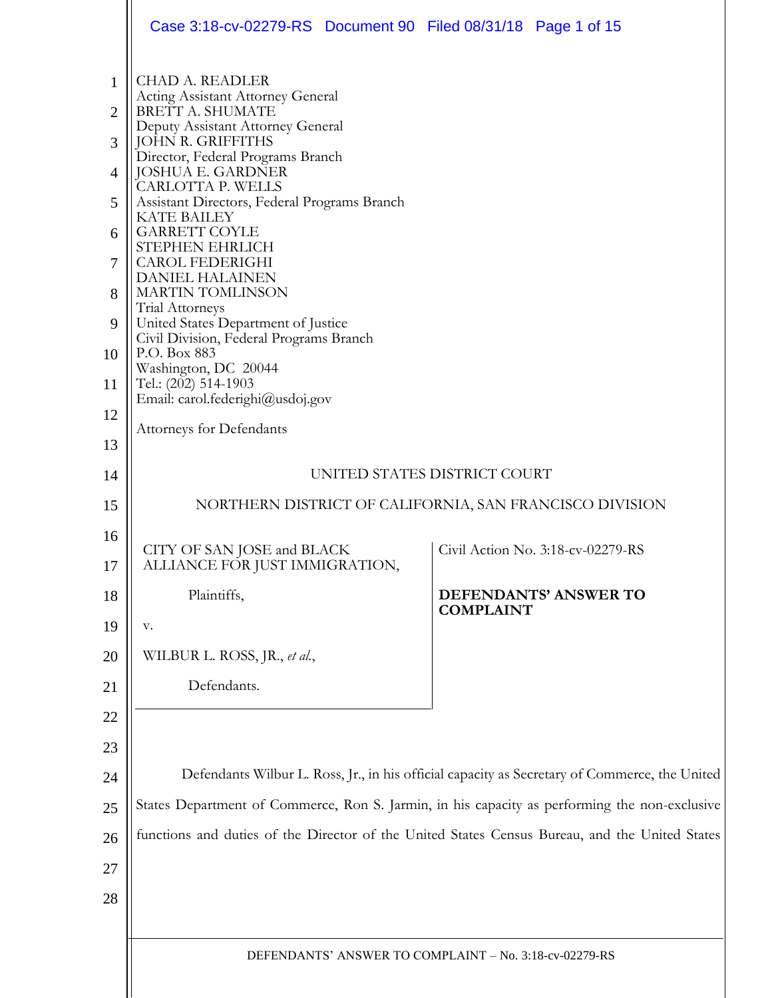|                | Case 3:18-cv-02279-RS Document 90 Filed 08/31/18 Page 1 of 15                                  |                                   |  |  |  |
|----------------|------------------------------------------------------------------------------------------------|-----------------------------------|--|--|--|
| $\mathbf{1}$   | <b>CHAD A. READLER</b><br><b>Acting Assistant Attorney General</b>                             |                                   |  |  |  |
| $\overline{2}$ | BRETT A. SHUMATE                                                                               |                                   |  |  |  |
| 3              | Deputy Assistant Attorney General<br>JOHN R. GRIFFITHS                                         |                                   |  |  |  |
| $\overline{4}$ | Director, Federal Programs Branch<br><b>JOSHUA E. GARDNER</b>                                  |                                   |  |  |  |
| 5              | CARLOTTA P. WELLS<br>Assistant Directors, Federal Programs Branch                              |                                   |  |  |  |
| 6              | <b>KATE BAILEY</b><br><b>GARRETT COYLE</b>                                                     |                                   |  |  |  |
| $\overline{7}$ | STEPHEN EHRLICH<br><b>CAROL FEDERIGHI</b><br><b>DANIEL HALAINEN</b>                            |                                   |  |  |  |
| 8              | <b>MARTIN TOMLINSON</b><br><b>Trial Attorneys</b>                                              |                                   |  |  |  |
| 9              | United States Department of Justice<br>Civil Division, Federal Programs Branch                 |                                   |  |  |  |
| 10             | P.O. Box 883                                                                                   |                                   |  |  |  |
| 11             | Washington, DC 20044<br>Tel.: $(202)$ 514-1903<br>Email: carol.federighi@usdoj.gov             |                                   |  |  |  |
| 12             | <b>Attorneys for Defendants</b>                                                                |                                   |  |  |  |
| 13             |                                                                                                |                                   |  |  |  |
| 14             | UNITED STATES DISTRICT COURT                                                                   |                                   |  |  |  |
| 15             | NORTHERN DISTRICT OF CALIFORNIA, SAN FRANCISCO DIVISION                                        |                                   |  |  |  |
| 16<br>17       | CITY OF SAN JOSE and BLACK<br>ALLIANCE FOR JUST IMMIGRATION,                                   | Civil Action No. 3:18-cv-02279-RS |  |  |  |
| 18             | Plaintiffs,                                                                                    | DEFENDANTS' ANSWER TO             |  |  |  |
| 19             | v.                                                                                             | <b>COMPLAINT</b>                  |  |  |  |
| 20             | WILBUR L. ROSS, JR., et al.,                                                                   |                                   |  |  |  |
| 21             | Defendants.                                                                                    |                                   |  |  |  |
| 22             |                                                                                                |                                   |  |  |  |
| 23             |                                                                                                |                                   |  |  |  |
| 24             | Defendants Wilbur L. Ross, Jr., in his official capacity as Secretary of Commerce, the United  |                                   |  |  |  |
| 25             | States Department of Commerce, Ron S. Jarmin, in his capacity as performing the non-exclusive  |                                   |  |  |  |
| 26             | functions and duties of the Director of the United States Census Bureau, and the United States |                                   |  |  |  |
| 27             |                                                                                                |                                   |  |  |  |
| 28             |                                                                                                |                                   |  |  |  |
|                |                                                                                                |                                   |  |  |  |
|                | DEFENDANTS' ANSWER TO COMPLAINT - No. 3:18-cv-02279-RS                                         |                                   |  |  |  |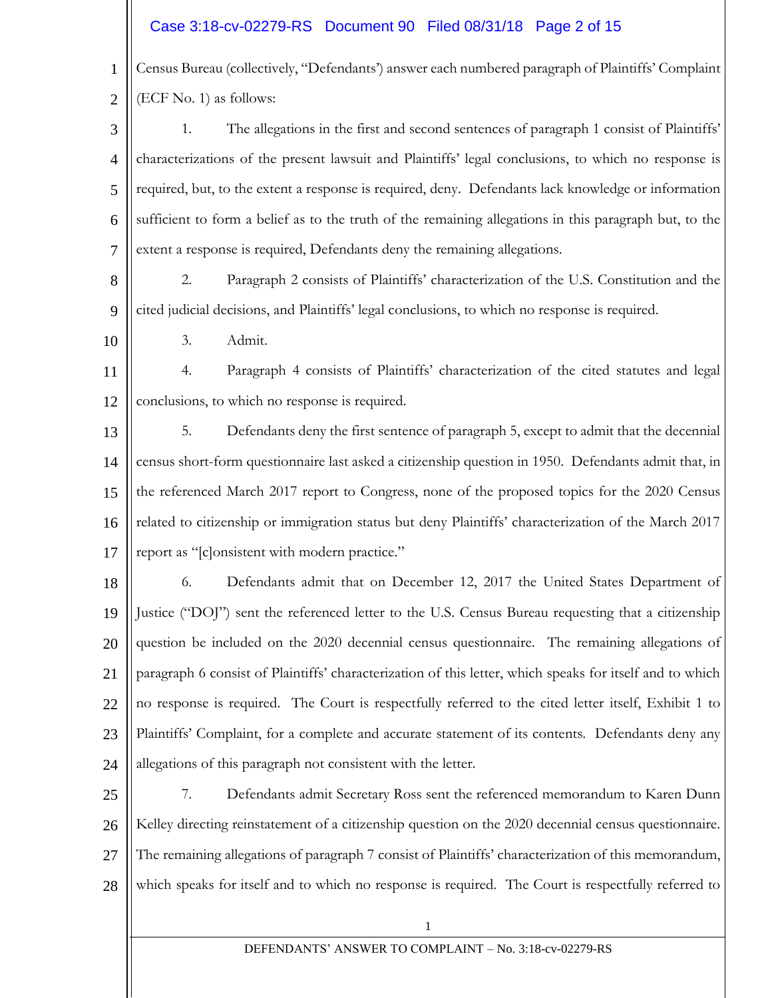# Case 3:18-cv-02279-RS Document 90 Filed 08/31/18 Page 2 of 15

1 2 Census Bureau (collectively, "Defendants') answer each numbered paragraph of Plaintiffs' Complaint (ECF No. 1) as follows:

3 4 5 6 7 1. The allegations in the first and second sentences of paragraph 1 consist of Plaintiffs' characterizations of the present lawsuit and Plaintiffs' legal conclusions, to which no response is required, but, to the extent a response is required, deny. Defendants lack knowledge or information sufficient to form a belief as to the truth of the remaining allegations in this paragraph but, to the extent a response is required, Defendants deny the remaining allegations.

8 9 2. Paragraph 2 consists of Plaintiffs' characterization of the U.S. Constitution and the cited judicial decisions, and Plaintiffs' legal conclusions, to which no response is required.

3. Admit.

10

11 12 4. Paragraph 4 consists of Plaintiffs' characterization of the cited statutes and legal conclusions, to which no response is required.

13 14 15 16 17 5. Defendants deny the first sentence of paragraph 5, except to admit that the decennial census short-form questionnaire last asked a citizenship question in 1950. Defendants admit that, in the referenced March 2017 report to Congress, none of the proposed topics for the 2020 Census related to citizenship or immigration status but deny Plaintiffs' characterization of the March 2017 report as "[c]onsistent with modern practice."

18 19 20 21 22 23 24 6. Defendants admit that on December 12, 2017 the United States Department of Justice ("DOJ") sent the referenced letter to the U.S. Census Bureau requesting that a citizenship question be included on the 2020 decennial census questionnaire. The remaining allegations of paragraph 6 consist of Plaintiffs' characterization of this letter, which speaks for itself and to which no response is required. The Court is respectfully referred to the cited letter itself, Exhibit 1 to Plaintiffs' Complaint, for a complete and accurate statement of its contents. Defendants deny any allegations of this paragraph not consistent with the letter.

25 26 27 28 7. Defendants admit Secretary Ross sent the referenced memorandum to Karen Dunn Kelley directing reinstatement of a citizenship question on the 2020 decennial census questionnaire. The remaining allegations of paragraph 7 consist of Plaintiffs' characterization of this memorandum, which speaks for itself and to which no response is required. The Court is respectfully referred to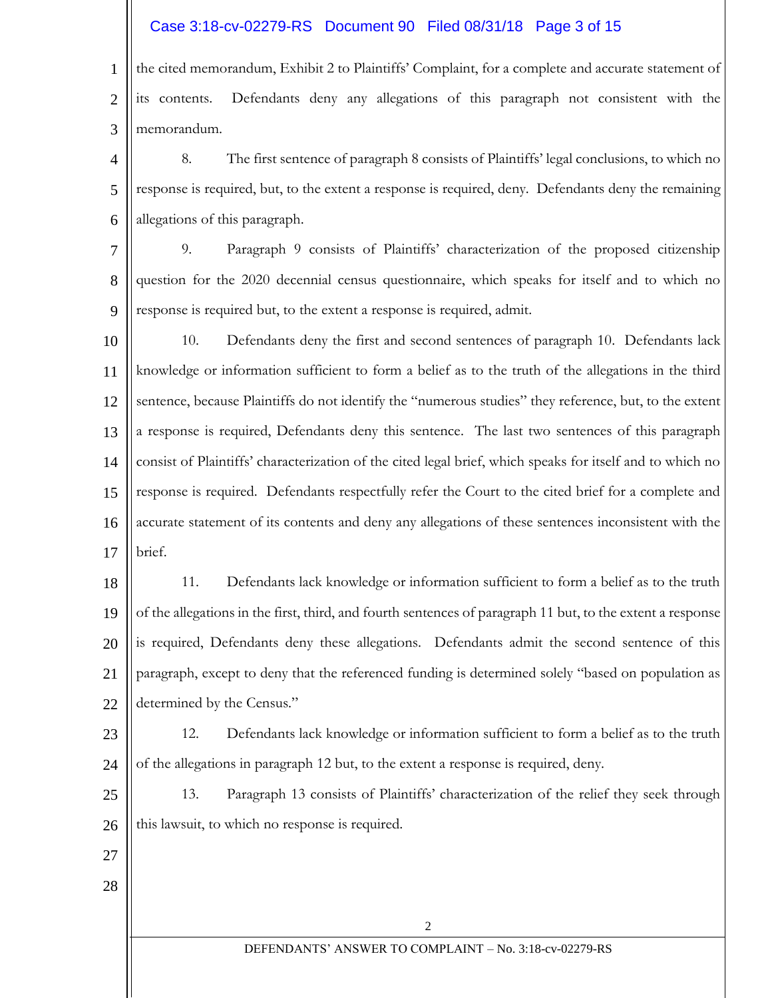### Case 3:18-cv-02279-RS Document 90 Filed 08/31/18 Page 3 of 15

1 2 3 the cited memorandum, Exhibit 2 to Plaintiffs' Complaint, for a complete and accurate statement of its contents. Defendants deny any allegations of this paragraph not consistent with the memorandum.

4 5 6 8. The first sentence of paragraph 8 consists of Plaintiffs' legal conclusions, to which no response is required, but, to the extent a response is required, deny. Defendants deny the remaining allegations of this paragraph.

7 8 9 9. Paragraph 9 consists of Plaintiffs' characterization of the proposed citizenship question for the 2020 decennial census questionnaire, which speaks for itself and to which no response is required but, to the extent a response is required, admit.

10 11 12 13 14 15 16 17 10. Defendants deny the first and second sentences of paragraph 10. Defendants lack knowledge or information sufficient to form a belief as to the truth of the allegations in the third sentence, because Plaintiffs do not identify the "numerous studies" they reference, but, to the extent a response is required, Defendants deny this sentence. The last two sentences of this paragraph consist of Plaintiffs' characterization of the cited legal brief, which speaks for itself and to which no response is required. Defendants respectfully refer the Court to the cited brief for a complete and accurate statement of its contents and deny any allegations of these sentences inconsistent with the brief.

18 19 20 21 22 11. Defendants lack knowledge or information sufficient to form a belief as to the truth of the allegations in the first, third, and fourth sentences of paragraph 11 but, to the extent a response is required, Defendants deny these allegations. Defendants admit the second sentence of this paragraph, except to deny that the referenced funding is determined solely "based on population as determined by the Census."

23 24 12. Defendants lack knowledge or information sufficient to form a belief as to the truth of the allegations in paragraph 12 but, to the extent a response is required, deny.

25 26 13. Paragraph 13 consists of Plaintiffs' characterization of the relief they seek through this lawsuit, to which no response is required.

- 27
- 28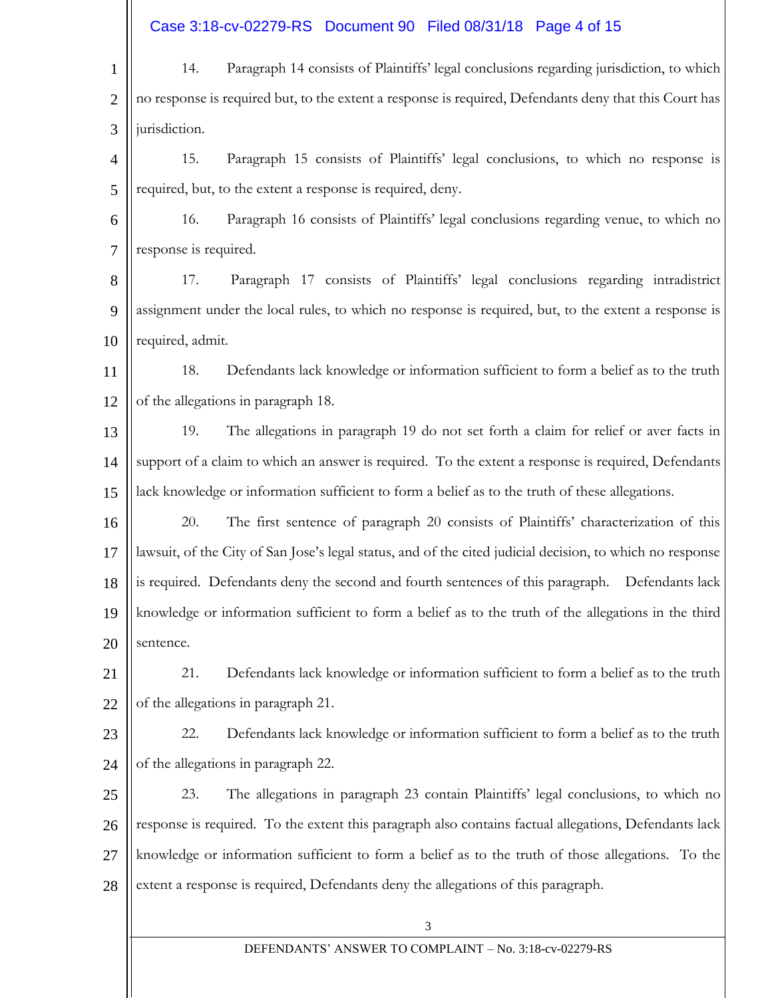Case 3:18-cv-02279-RS Document 90 Filed 08/31/18 Page 4 of 15

3 DEFENDANTS' ANSWER TO COMPLAINT – No. 3:18-cv-02279-RS 1 2 3 4 5 6 7 8 9 10 11 12 13 14 15 16 17 18 19 20 21 22 23 24 25 26 27 28 14. Paragraph 14 consists of Plaintiffs' legal conclusions regarding jurisdiction, to which no response is required but, to the extent a response is required, Defendants deny that this Court has jurisdiction. 15. Paragraph 15 consists of Plaintiffs' legal conclusions, to which no response is required, but, to the extent a response is required, deny. 16. Paragraph 16 consists of Plaintiffs' legal conclusions regarding venue, to which no response is required. 17. Paragraph 17 consists of Plaintiffs' legal conclusions regarding intradistrict assignment under the local rules, to which no response is required, but, to the extent a response is required, admit. 18. Defendants lack knowledge or information sufficient to form a belief as to the truth of the allegations in paragraph 18. 19. The allegations in paragraph 19 do not set forth a claim for relief or aver facts in support of a claim to which an answer is required. To the extent a response is required, Defendants lack knowledge or information sufficient to form a belief as to the truth of these allegations. 20. The first sentence of paragraph 20 consists of Plaintiffs' characterization of this lawsuit, of the City of San Jose's legal status, and of the cited judicial decision, to which no response is required. Defendants deny the second and fourth sentences of this paragraph. Defendants lack knowledge or information sufficient to form a belief as to the truth of the allegations in the third sentence. 21. Defendants lack knowledge or information sufficient to form a belief as to the truth of the allegations in paragraph 21. 22. Defendants lack knowledge or information sufficient to form a belief as to the truth of the allegations in paragraph 22. 23. The allegations in paragraph 23 contain Plaintiffs' legal conclusions, to which no response is required. To the extent this paragraph also contains factual allegations, Defendants lack knowledge or information sufficient to form a belief as to the truth of those allegations. To the extent a response is required, Defendants deny the allegations of this paragraph.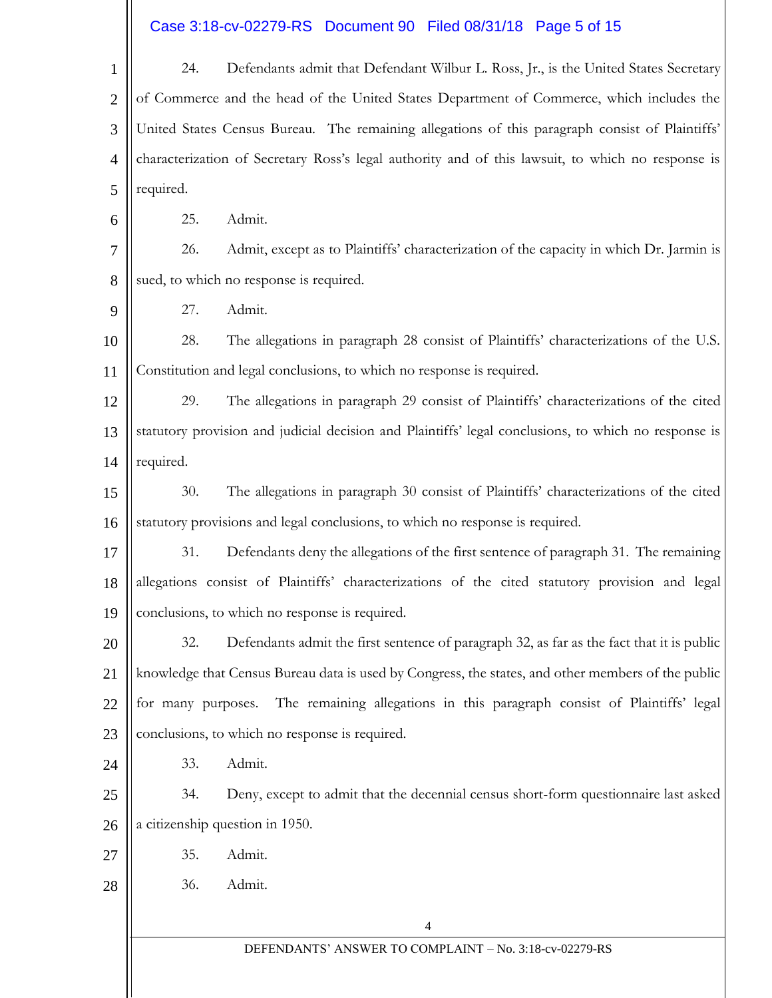# Case 3:18-cv-02279-RS Document 90 Filed 08/31/18 Page 5 of 15

| $\mathbf{1}$   | Defendants admit that Defendant Wilbur L. Ross, Jr., is the United States Secretary<br>24.           |                                                                                                 |  |  |  |
|----------------|------------------------------------------------------------------------------------------------------|-------------------------------------------------------------------------------------------------|--|--|--|
| $\overline{2}$ | of Commerce and the head of the United States Department of Commerce, which includes the             |                                                                                                 |  |  |  |
| 3              | United States Census Bureau. The remaining allegations of this paragraph consist of Plaintiffs'      |                                                                                                 |  |  |  |
| $\overline{4}$ | characterization of Secretary Ross's legal authority and of this lawsuit, to which no response is    |                                                                                                 |  |  |  |
| 5              | required.                                                                                            |                                                                                                 |  |  |  |
| 6              | Admit.<br>25.                                                                                        |                                                                                                 |  |  |  |
| $\overline{7}$ | 26.                                                                                                  | Admit, except as to Plaintiffs' characterization of the capacity in which Dr. Jarmin is         |  |  |  |
| 8              | sued, to which no response is required.                                                              |                                                                                                 |  |  |  |
| 9              | 27.                                                                                                  | Admit.                                                                                          |  |  |  |
| 10             | 28.                                                                                                  | The allegations in paragraph 28 consist of Plaintiffs' characterizations of the U.S.            |  |  |  |
| 11             | Constitution and legal conclusions, to which no response is required.                                |                                                                                                 |  |  |  |
| 12             | The allegations in paragraph 29 consist of Plaintiffs' characterizations of the cited<br>29.         |                                                                                                 |  |  |  |
| 13             | statutory provision and judicial decision and Plaintiffs' legal conclusions, to which no response is |                                                                                                 |  |  |  |
| 14             | required.                                                                                            |                                                                                                 |  |  |  |
| 15             | 30.                                                                                                  | The allegations in paragraph 30 consist of Plaintiffs' characterizations of the cited           |  |  |  |
| 16             |                                                                                                      | statutory provisions and legal conclusions, to which no response is required.                   |  |  |  |
| 17             | 31.                                                                                                  | Defendants deny the allegations of the first sentence of paragraph 31. The remaining            |  |  |  |
| 18             |                                                                                                      | allegations consist of Plaintiffs' characterizations of the cited statutory provision and legal |  |  |  |
| 19             |                                                                                                      | conclusions, to which no response is required.                                                  |  |  |  |
| 20             | 32.                                                                                                  | Defendants admit the first sentence of paragraph 32, as far as the fact that it is public       |  |  |  |
| 21             | knowledge that Census Bureau data is used by Congress, the states, and other members of the public   |                                                                                                 |  |  |  |
| 22             | for many purposes.                                                                                   | The remaining allegations in this paragraph consist of Plaintiffs' legal                        |  |  |  |
| 23             | conclusions, to which no response is required.                                                       |                                                                                                 |  |  |  |
| 24             | 33.                                                                                                  | Admit.                                                                                          |  |  |  |
| 25             | 34.                                                                                                  | Deny, except to admit that the decennial census short-form questionnaire last asked             |  |  |  |
| 26             | a citizenship question in 1950.                                                                      |                                                                                                 |  |  |  |
| 27             | 35.                                                                                                  | Admit.                                                                                          |  |  |  |
| 28             | 36.                                                                                                  | Admit.                                                                                          |  |  |  |
|                |                                                                                                      | $\overline{4}$                                                                                  |  |  |  |
|                | DEFENDANTS' ANSWER TO COMPLAINT - No. 3:18-cv-02279-RS                                               |                                                                                                 |  |  |  |
|                |                                                                                                      |                                                                                                 |  |  |  |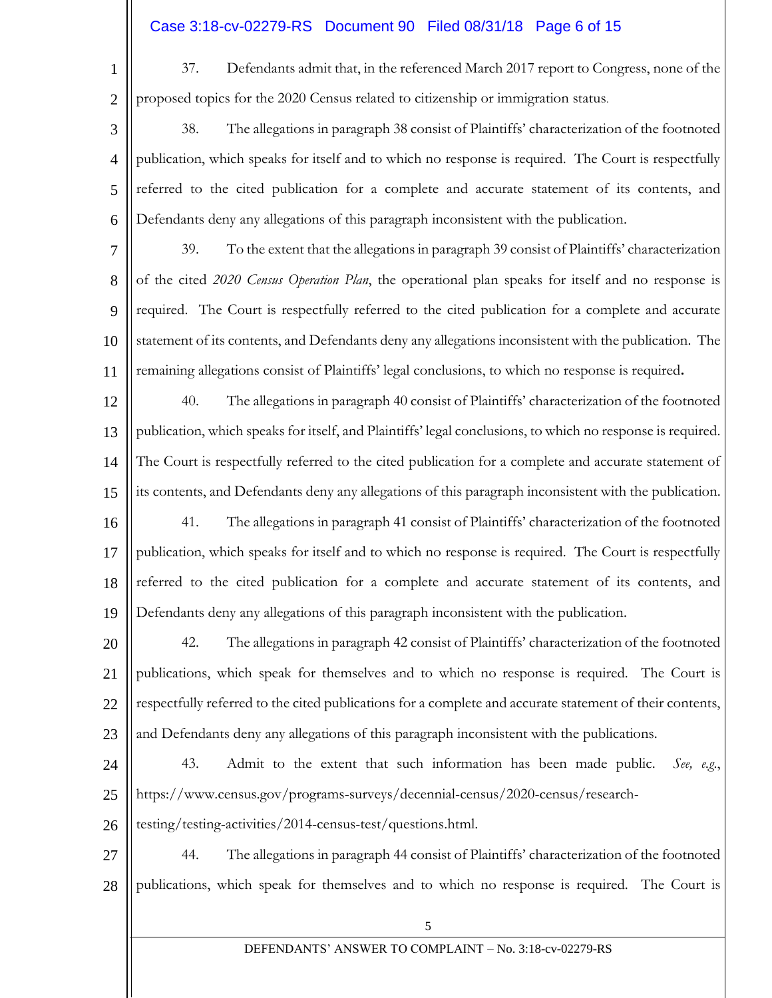## Case 3:18-cv-02279-RS Document 90 Filed 08/31/18 Page 6 of 15

37. Defendants admit that, in the referenced March 2017 report to Congress, none of the proposed topics for the 2020 Census related to citizenship or immigration status.

- 3 4 5 6 38. The allegations in paragraph 38 consist of Plaintiffs' characterization of the footnoted publication, which speaks for itself and to which no response is required. The Court is respectfully referred to the cited publication for a complete and accurate statement of its contents, and Defendants deny any allegations of this paragraph inconsistent with the publication.
- 7 8 9 10 11 39. To the extent that the allegations in paragraph 39 consist of Plaintiffs' characterization of the cited *2020 Census Operation Plan*, the operational plan speaks for itself and no response is required. The Court is respectfully referred to the cited publication for a complete and accurate statement of its contents, and Defendants deny any allegations inconsistent with the publication. The remaining allegations consist of Plaintiffs' legal conclusions, to which no response is required**.**
- 12 13 14 15 16 17 18 19 40. The allegations in paragraph 40 consist of Plaintiffs' characterization of the footnoted publication, which speaks for itself, and Plaintiffs' legal conclusions, to which no response is required. The Court is respectfully referred to the cited publication for a complete and accurate statement of its contents, and Defendants deny any allegations of this paragraph inconsistent with the publication. 41. The allegations in paragraph 41 consist of Plaintiffs' characterization of the footnoted publication, which speaks for itself and to which no response is required. The Court is respectfully referred to the cited publication for a complete and accurate statement of its contents, and Defendants deny any allegations of this paragraph inconsistent with the publication.
- 20 21 22 23 42. The allegations in paragraph 42 consist of Plaintiffs' characterization of the footnoted publications, which speak for themselves and to which no response is required. The Court is respectfully referred to the cited publications for a complete and accurate statement of their contents, and Defendants deny any allegations of this paragraph inconsistent with the publications.
- 24

25

1

2

43. Admit to the extent that such information has been made public. *See, e.g*., https://www.census.gov/programs-surveys/decennial-census/2020-census/research-

- 26 testing/testing-activities/2014-census-test/questions.html.
- 27 28 44. The allegations in paragraph 44 consist of Plaintiffs' characterization of the footnoted publications, which speak for themselves and to which no response is required. The Court is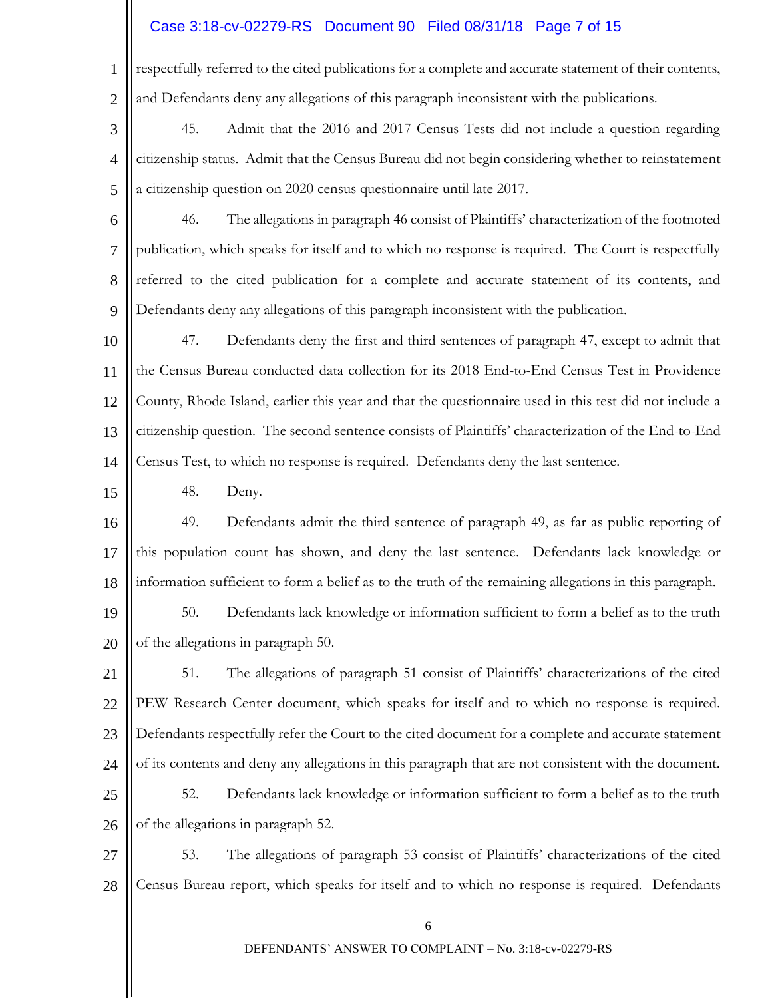## Case 3:18-cv-02279-RS Document 90 Filed 08/31/18 Page 7 of 15

respectfully referred to the cited publications for a complete and accurate statement of their contents, and Defendants deny any allegations of this paragraph inconsistent with the publications.

- 3 4 5 45. Admit that the 2016 and 2017 Census Tests did not include a question regarding citizenship status. Admit that the Census Bureau did not begin considering whether to reinstatement a citizenship question on 2020 census questionnaire until late 2017.
- 6 7 8 9 46. The allegations in paragraph 46 consist of Plaintiffs' characterization of the footnoted publication, which speaks for itself and to which no response is required. The Court is respectfully referred to the cited publication for a complete and accurate statement of its contents, and Defendants deny any allegations of this paragraph inconsistent with the publication.
- 10 11 12 13 14 47. Defendants deny the first and third sentences of paragraph 47, except to admit that the Census Bureau conducted data collection for its 2018 End-to-End Census Test in Providence County, Rhode Island, earlier this year and that the questionnaire used in this test did not include a citizenship question. The second sentence consists of Plaintiffs' characterization of the End-to-End Census Test, to which no response is required. Defendants deny the last sentence.
	- 48. Deny.

1

2

15

- 16 17 18 49. Defendants admit the third sentence of paragraph 49, as far as public reporting of this population count has shown, and deny the last sentence. Defendants lack knowledge or information sufficient to form a belief as to the truth of the remaining allegations in this paragraph.
- 19 20 50. Defendants lack knowledge or information sufficient to form a belief as to the truth of the allegations in paragraph 50.
- 21 22 23 24 51. The allegations of paragraph 51 consist of Plaintiffs' characterizations of the cited PEW Research Center document, which speaks for itself and to which no response is required. Defendants respectfully refer the Court to the cited document for a complete and accurate statement of its contents and deny any allegations in this paragraph that are not consistent with the document.
- 25 26 52. Defendants lack knowledge or information sufficient to form a belief as to the truth of the allegations in paragraph 52.
- 27 28 53. The allegations of paragraph 53 consist of Plaintiffs' characterizations of the cited Census Bureau report, which speaks for itself and to which no response is required. Defendants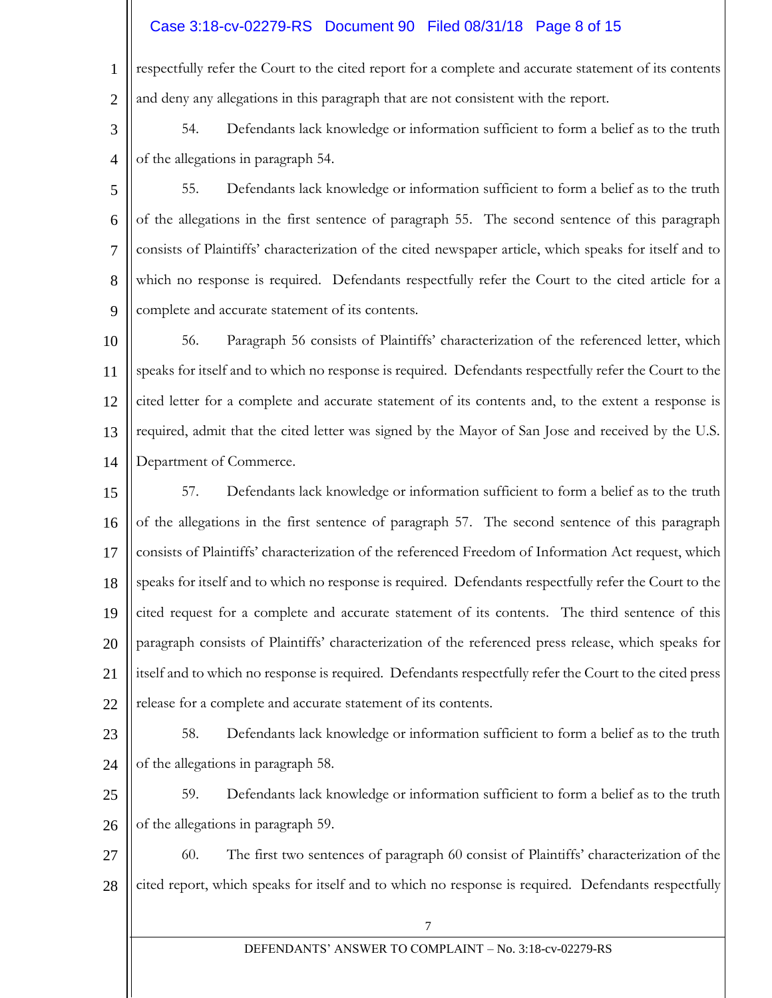## Case 3:18-cv-02279-RS Document 90 Filed 08/31/18 Page 8 of 15

1 2 respectfully refer the Court to the cited report for a complete and accurate statement of its contents and deny any allegations in this paragraph that are not consistent with the report.

3 4 54. Defendants lack knowledge or information sufficient to form a belief as to the truth of the allegations in paragraph 54.

5 6 7 8 9 55. Defendants lack knowledge or information sufficient to form a belief as to the truth of the allegations in the first sentence of paragraph 55. The second sentence of this paragraph consists of Plaintiffs' characterization of the cited newspaper article, which speaks for itself and to which no response is required. Defendants respectfully refer the Court to the cited article for a complete and accurate statement of its contents.

10 11 12 13 14 56. Paragraph 56 consists of Plaintiffs' characterization of the referenced letter, which speaks for itself and to which no response is required. Defendants respectfully refer the Court to the cited letter for a complete and accurate statement of its contents and, to the extent a response is required, admit that the cited letter was signed by the Mayor of San Jose and received by the U.S. Department of Commerce.

15 16 17 18 19 20 21 22 57. Defendants lack knowledge or information sufficient to form a belief as to the truth of the allegations in the first sentence of paragraph 57. The second sentence of this paragraph consists of Plaintiffs' characterization of the referenced Freedom of Information Act request, which speaks for itself and to which no response is required. Defendants respectfully refer the Court to the cited request for a complete and accurate statement of its contents. The third sentence of this paragraph consists of Plaintiffs' characterization of the referenced press release, which speaks for itself and to which no response is required. Defendants respectfully refer the Court to the cited press release for a complete and accurate statement of its contents.

- 23 24 58. Defendants lack knowledge or information sufficient to form a belief as to the truth of the allegations in paragraph 58.
- 25 26 59. Defendants lack knowledge or information sufficient to form a belief as to the truth of the allegations in paragraph 59.
- 27 28 60. The first two sentences of paragraph 60 consist of Plaintiffs' characterization of the cited report, which speaks for itself and to which no response is required. Defendants respectfully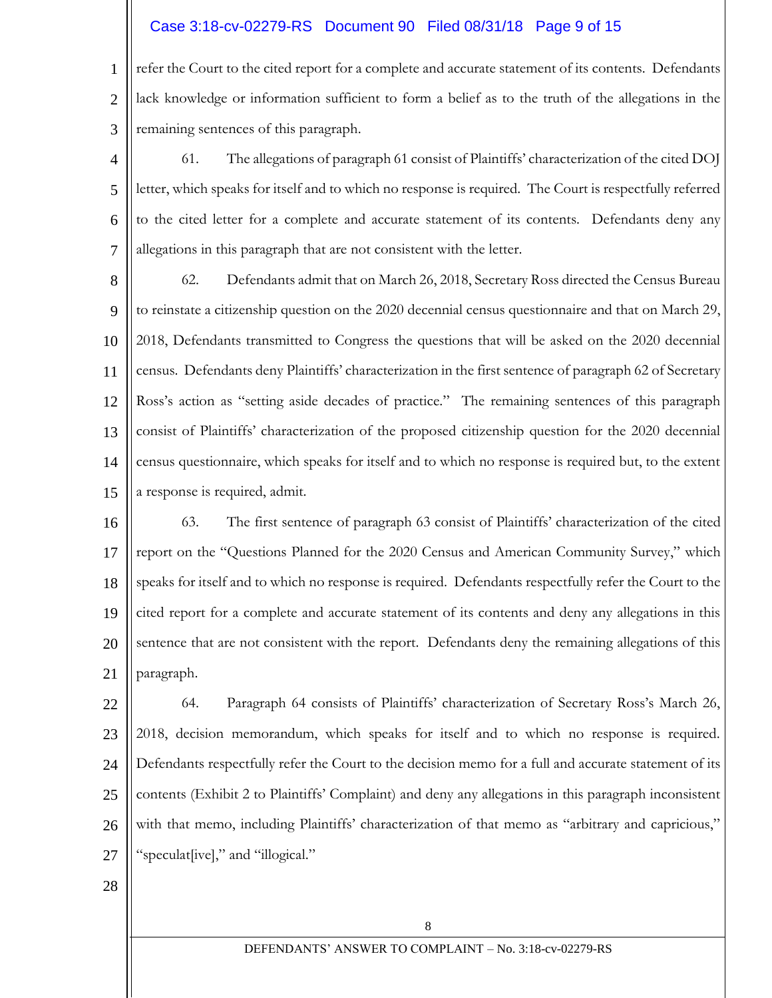### Case 3:18-cv-02279-RS Document 90 Filed 08/31/18 Page 9 of 15

1 2 3 refer the Court to the cited report for a complete and accurate statement of its contents. Defendants lack knowledge or information sufficient to form a belief as to the truth of the allegations in the remaining sentences of this paragraph.

4 5 6 7 61. The allegations of paragraph 61 consist of Plaintiffs' characterization of the cited DOJ letter, which speaks for itself and to which no response is required. The Court is respectfully referred to the cited letter for a complete and accurate statement of its contents. Defendants deny any allegations in this paragraph that are not consistent with the letter.

8 9 10 11 12 13 14 15 62. Defendants admit that on March 26, 2018, Secretary Ross directed the Census Bureau to reinstate a citizenship question on the 2020 decennial census questionnaire and that on March 29, 2018, Defendants transmitted to Congress the questions that will be asked on the 2020 decennial census. Defendants deny Plaintiffs' characterization in the first sentence of paragraph 62 of Secretary Ross's action as "setting aside decades of practice." The remaining sentences of this paragraph consist of Plaintiffs' characterization of the proposed citizenship question for the 2020 decennial census questionnaire, which speaks for itself and to which no response is required but, to the extent a response is required, admit.

16 17 18 19 20 21 63. The first sentence of paragraph 63 consist of Plaintiffs' characterization of the cited report on the "Questions Planned for the 2020 Census and American Community Survey," which speaks for itself and to which no response is required. Defendants respectfully refer the Court to the cited report for a complete and accurate statement of its contents and deny any allegations in this sentence that are not consistent with the report. Defendants deny the remaining allegations of this paragraph.

22 23 24 25 26 27 64. Paragraph 64 consists of Plaintiffs' characterization of Secretary Ross's March 26, 2018, decision memorandum, which speaks for itself and to which no response is required. Defendants respectfully refer the Court to the decision memo for a full and accurate statement of its contents (Exhibit 2 to Plaintiffs' Complaint) and deny any allegations in this paragraph inconsistent with that memo, including Plaintiffs' characterization of that memo as "arbitrary and capricious," "speculat[ive]," and "illogical."

28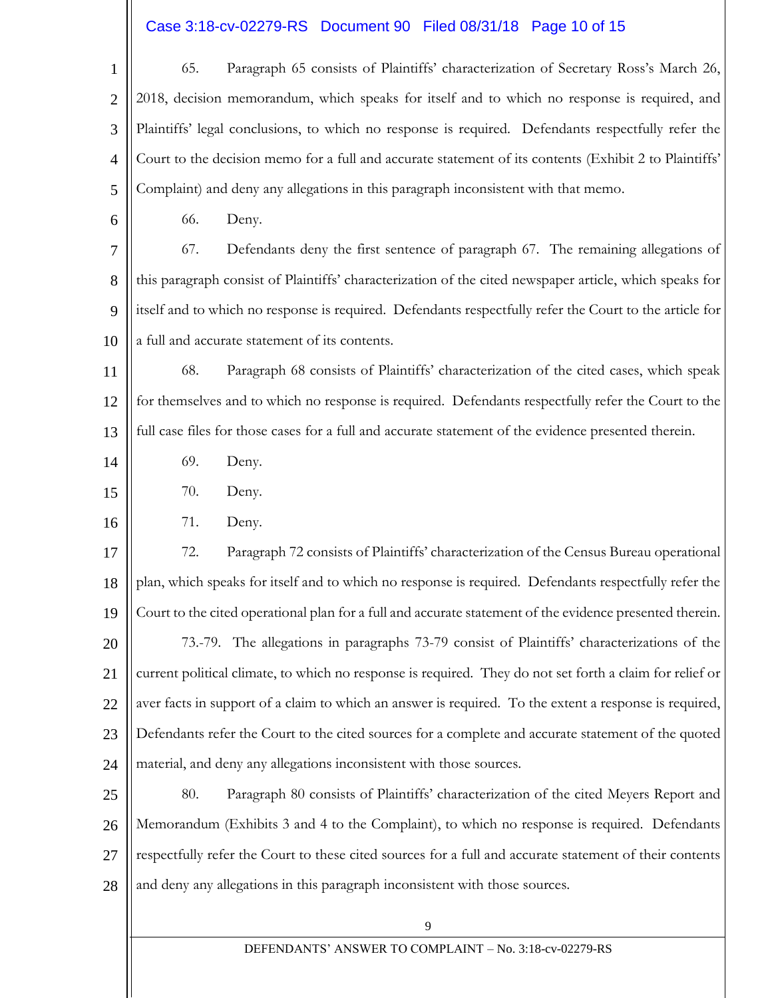# Case 3:18-cv-02279-RS Document 90 Filed 08/31/18 Page 10 of 15

| $\mathbf{1}$   | 65.                                                                                                     | Paragraph 65 consists of Plaintiffs' characterization of Secretary Ross's March 26,                      |  |  |
|----------------|---------------------------------------------------------------------------------------------------------|----------------------------------------------------------------------------------------------------------|--|--|
| $\overline{2}$ | 2018, decision memorandum, which speaks for itself and to which no response is required, and            |                                                                                                          |  |  |
| 3              | Plaintiffs' legal conclusions, to which no response is required. Defendants respectfully refer the      |                                                                                                          |  |  |
| $\overline{4}$ | Court to the decision memo for a full and accurate statement of its contents (Exhibit 2 to Plaintiffs'  |                                                                                                          |  |  |
| 5              | Complaint) and deny any allegations in this paragraph inconsistent with that memo.                      |                                                                                                          |  |  |
| 6              | 66.                                                                                                     | Deny.                                                                                                    |  |  |
| 7              | 67.                                                                                                     | Defendants deny the first sentence of paragraph 67. The remaining allegations of                         |  |  |
| 8              | this paragraph consist of Plaintiffs' characterization of the cited newspaper article, which speaks for |                                                                                                          |  |  |
| 9              |                                                                                                         | itself and to which no response is required. Defendants respectfully refer the Court to the article for  |  |  |
| 10             |                                                                                                         | a full and accurate statement of its contents.                                                           |  |  |
| 11             | 68.                                                                                                     | Paragraph 68 consists of Plaintiffs' characterization of the cited cases, which speak                    |  |  |
| 12             | for themselves and to which no response is required. Defendants respectfully refer the Court to the     |                                                                                                          |  |  |
| 13             |                                                                                                         | full case files for those cases for a full and accurate statement of the evidence presented therein.     |  |  |
| 14             | 69.                                                                                                     | Deny.                                                                                                    |  |  |
| 15             | 70.                                                                                                     | Deny.                                                                                                    |  |  |
| 16             | 71.                                                                                                     | Deny.                                                                                                    |  |  |
| 17             | 72.                                                                                                     | Paragraph 72 consists of Plaintiffs' characterization of the Census Bureau operational                   |  |  |
| 18             |                                                                                                         | plan, which speaks for itself and to which no response is required. Defendants respectfully refer the    |  |  |
| 19             |                                                                                                         | Court to the cited operational plan for a full and accurate statement of the evidence presented therein. |  |  |
| 20             |                                                                                                         | 73.-79. The allegations in paragraphs 73-79 consist of Plaintiffs' characterizations of the              |  |  |
| 21             |                                                                                                         | current political climate, to which no response is required. They do not set forth a claim for relief or |  |  |
| 22             |                                                                                                         | aver facts in support of a claim to which an answer is required. To the extent a response is required,   |  |  |
| 23             |                                                                                                         | Defendants refer the Court to the cited sources for a complete and accurate statement of the quoted      |  |  |
| 24             | material, and deny any allegations inconsistent with those sources.                                     |                                                                                                          |  |  |
| 25             | 80.                                                                                                     | Paragraph 80 consists of Plaintiffs' characterization of the cited Meyers Report and                     |  |  |
| 26             |                                                                                                         | Memorandum (Exhibits 3 and 4 to the Complaint), to which no response is required. Defendants             |  |  |
| 27             |                                                                                                         | respectfully refer the Court to these cited sources for a full and accurate statement of their contents  |  |  |
| 28             |                                                                                                         | and deny any allegations in this paragraph inconsistent with those sources.                              |  |  |
|                | 9                                                                                                       |                                                                                                          |  |  |
|                | DEFENDANTS' ANSWER TO COMPLAINT - No. 3:18-cv-02279-RS                                                  |                                                                                                          |  |  |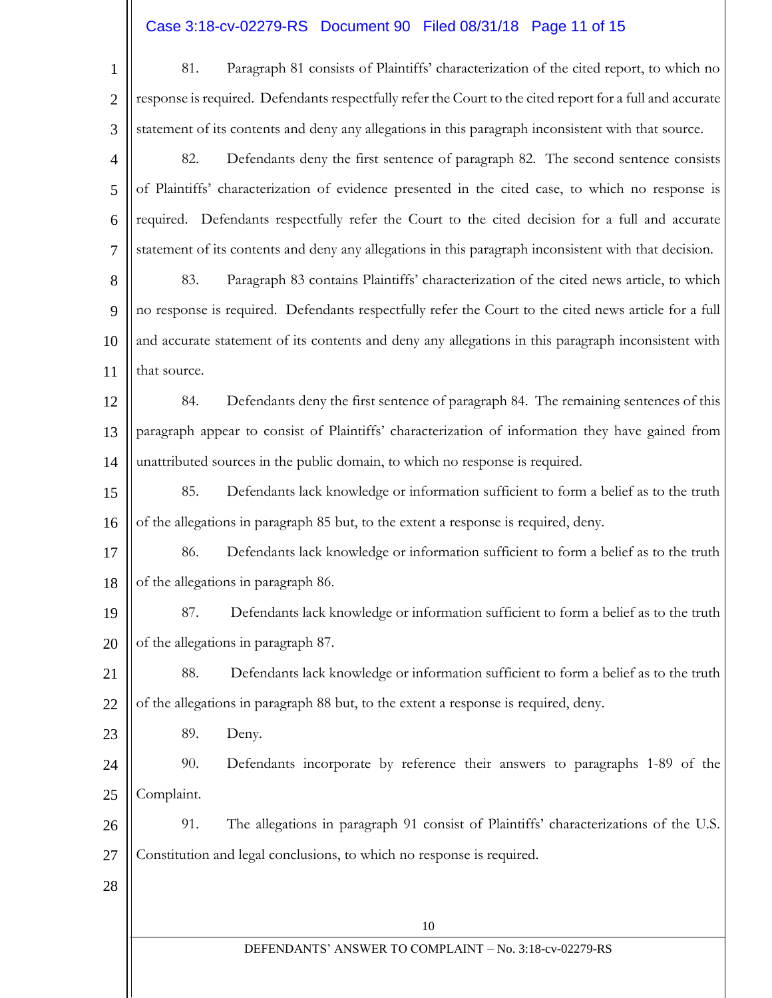# Case 3:18-cv-02279-RS Document 90 Filed 08/31/18 Page 11 of 15

| $\mathbf{1}$   | Paragraph 81 consists of Plaintiffs' characterization of the cited report, to which no<br>81.             |  |  |  |  |
|----------------|-----------------------------------------------------------------------------------------------------------|--|--|--|--|
| $\overline{2}$ | response is required. Defendants respectfully refer the Court to the cited report for a full and accurate |  |  |  |  |
| 3              | statement of its contents and deny any allegations in this paragraph inconsistent with that source.       |  |  |  |  |
| $\overline{4}$ | Defendants deny the first sentence of paragraph 82. The second sentence consists<br>82.                   |  |  |  |  |
| 5              | of Plaintiffs' characterization of evidence presented in the cited case, to which no response is          |  |  |  |  |
| 6              | required. Defendants respectfully refer the Court to the cited decision for a full and accurate           |  |  |  |  |
| $\tau$         | statement of its contents and deny any allegations in this paragraph inconsistent with that decision.     |  |  |  |  |
| 8              | Paragraph 83 contains Plaintiffs' characterization of the cited news article, to which<br>83.             |  |  |  |  |
| 9              | no response is required. Defendants respectfully refer the Court to the cited news article for a full     |  |  |  |  |
| 10             | and accurate statement of its contents and deny any allegations in this paragraph inconsistent with       |  |  |  |  |
| 11             | that source.                                                                                              |  |  |  |  |
| 12             | Defendants deny the first sentence of paragraph 84. The remaining sentences of this<br>84.                |  |  |  |  |
| 13             | paragraph appear to consist of Plaintiffs' characterization of information they have gained from          |  |  |  |  |
| 14             | unattributed sources in the public domain, to which no response is required.                              |  |  |  |  |
| 15             | Defendants lack knowledge or information sufficient to form a belief as to the truth<br>85.               |  |  |  |  |
| 16             | of the allegations in paragraph 85 but, to the extent a response is required, deny.                       |  |  |  |  |
| 17             | Defendants lack knowledge or information sufficient to form a belief as to the truth<br>86.               |  |  |  |  |
| 18             | of the allegations in paragraph 86.                                                                       |  |  |  |  |
| 19             | Defendants lack knowledge or information sufficient to form a belief as to the truth<br>87.               |  |  |  |  |
| 20             | of the allegations in paragraph 87.                                                                       |  |  |  |  |
| 21             | Defendants lack knowledge or information sufficient to form a belief as to the truth<br>88.               |  |  |  |  |
| 22             | of the allegations in paragraph 88 but, to the extent a response is required, deny.                       |  |  |  |  |
| 23             | 89.<br>Deny.                                                                                              |  |  |  |  |
| 24             | 90.<br>Defendants incorporate by reference their answers to paragraphs 1-89 of the                        |  |  |  |  |
| 25             | Complaint.                                                                                                |  |  |  |  |
| 26             | 91.<br>The allegations in paragraph 91 consist of Plaintiffs' characterizations of the U.S.               |  |  |  |  |
| 27             | Constitution and legal conclusions, to which no response is required.                                     |  |  |  |  |
| 28             |                                                                                                           |  |  |  |  |
|                | 10                                                                                                        |  |  |  |  |
|                | DEFENDANTS' ANSWER TO COMPLAINT - No. 3:18-cv-02279-RS                                                    |  |  |  |  |
|                |                                                                                                           |  |  |  |  |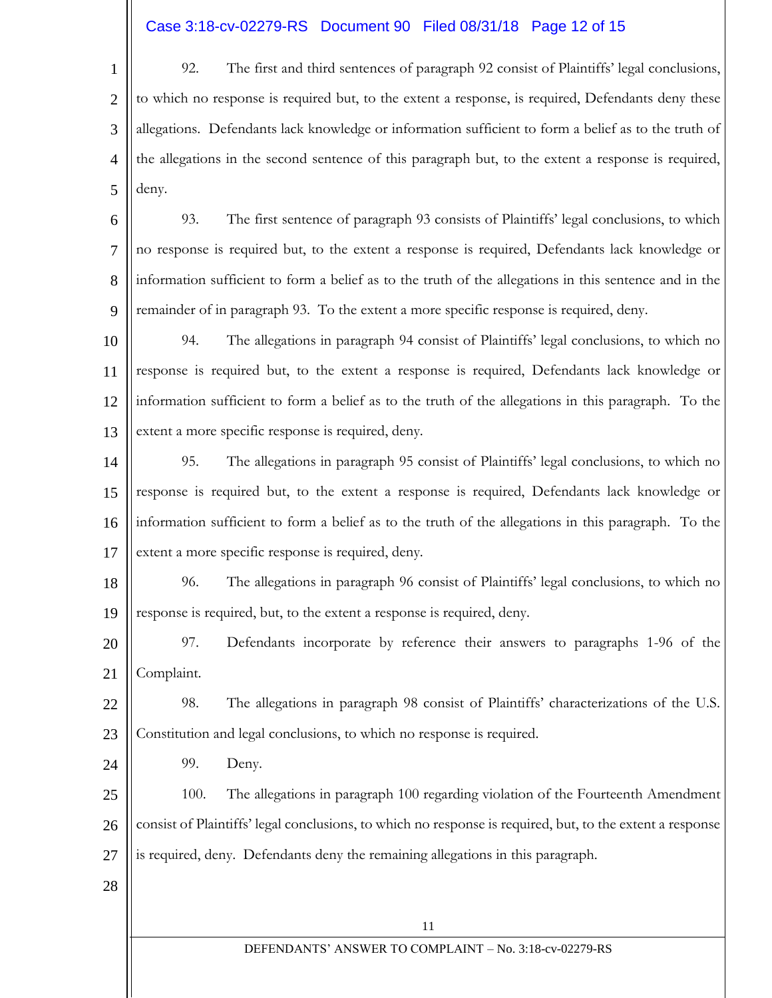### Case 3:18-cv-02279-RS Document 90 Filed 08/31/18 Page 12 of 15

1 2 3 4 5 92. The first and third sentences of paragraph 92 consist of Plaintiffs' legal conclusions, to which no response is required but, to the extent a response, is required, Defendants deny these allegations. Defendants lack knowledge or information sufficient to form a belief as to the truth of the allegations in the second sentence of this paragraph but, to the extent a response is required, deny.

6 7 8 9 93. The first sentence of paragraph 93 consists of Plaintiffs' legal conclusions, to which no response is required but, to the extent a response is required, Defendants lack knowledge or information sufficient to form a belief as to the truth of the allegations in this sentence and in the remainder of in paragraph 93. To the extent a more specific response is required, deny.

10 11 12 13 94. The allegations in paragraph 94 consist of Plaintiffs' legal conclusions, to which no response is required but, to the extent a response is required, Defendants lack knowledge or information sufficient to form a belief as to the truth of the allegations in this paragraph. To the extent a more specific response is required, deny.

14 15 16 17 95. The allegations in paragraph 95 consist of Plaintiffs' legal conclusions, to which no response is required but, to the extent a response is required, Defendants lack knowledge or information sufficient to form a belief as to the truth of the allegations in this paragraph. To the extent a more specific response is required, deny.

18 19 96. The allegations in paragraph 96 consist of Plaintiffs' legal conclusions, to which no response is required, but, to the extent a response is required, deny.

20 21 97. Defendants incorporate by reference their answers to paragraphs 1-96 of the Complaint.

22 23 98. The allegations in paragraph 98 consist of Plaintiffs' characterizations of the U.S. Constitution and legal conclusions, to which no response is required.

99. Deny.

25 26 27 100. The allegations in paragraph 100 regarding violation of the Fourteenth Amendment consist of Plaintiffs' legal conclusions, to which no response is required, but, to the extent a response is required, deny. Defendants deny the remaining allegations in this paragraph.

28

24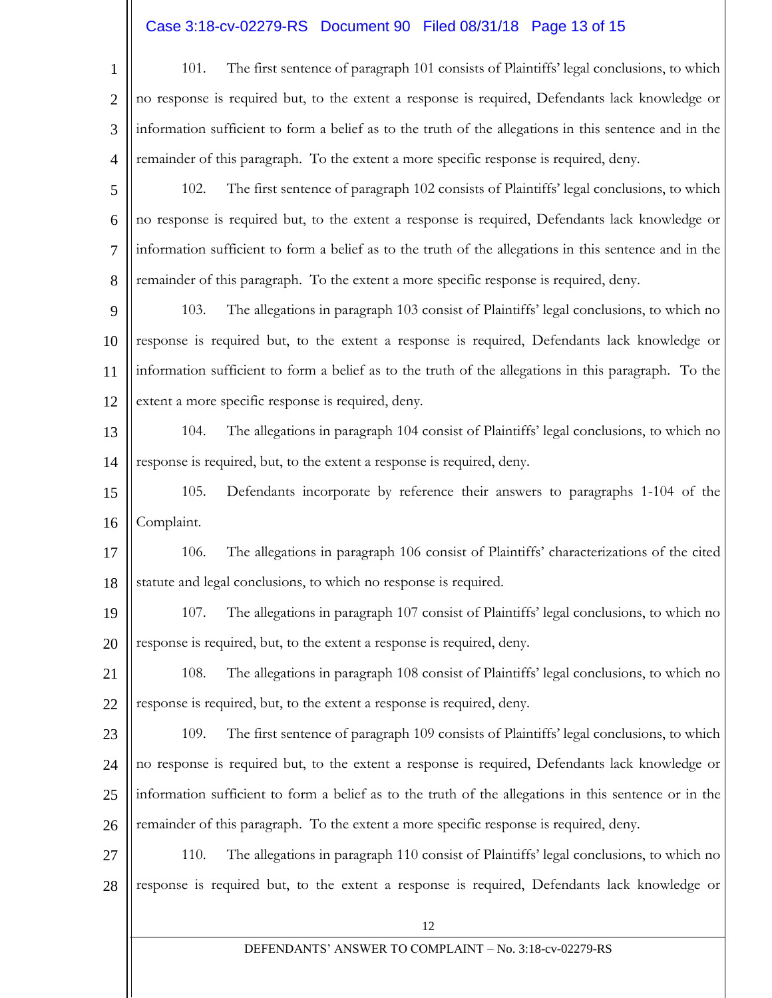# Case 3:18-cv-02279-RS Document 90 Filed 08/31/18 Page 13 of 15

| $1 \parallel$ | The first sentence of paragraph 101 consists of Plaintiffs' legal conclusions, to which<br>101.               |
|---------------|---------------------------------------------------------------------------------------------------------------|
|               | $2 \parallel$ no response is required but, to the extent a response is required, Defendants lack knowledge or |
|               | $3$   information sufficient to form a belief as to the truth of the allegations in this sentence and in the  |
|               | $4$   remainder of this paragraph. To the extent a more specific response is required, deny.                  |

5 6 7 8 102. The first sentence of paragraph 102 consists of Plaintiffs' legal conclusions, to which no response is required but, to the extent a response is required, Defendants lack knowledge or information sufficient to form a belief as to the truth of the allegations in this sentence and in the remainder of this paragraph. To the extent a more specific response is required, deny.

9 10 11 12 103. The allegations in paragraph 103 consist of Plaintiffs' legal conclusions, to which no response is required but, to the extent a response is required, Defendants lack knowledge or information sufficient to form a belief as to the truth of the allegations in this paragraph. To the extent a more specific response is required, deny.

13 14 104. The allegations in paragraph 104 consist of Plaintiffs' legal conclusions, to which no response is required, but, to the extent a response is required, deny.

15 16 105. Defendants incorporate by reference their answers to paragraphs 1-104 of the Complaint.

17 18 106. The allegations in paragraph 106 consist of Plaintiffs' characterizations of the cited statute and legal conclusions, to which no response is required.

19 20 107. The allegations in paragraph 107 consist of Plaintiffs' legal conclusions, to which no response is required, but, to the extent a response is required, deny.

21 22 108. The allegations in paragraph 108 consist of Plaintiffs' legal conclusions, to which no response is required, but, to the extent a response is required, deny.

23 24 25 26 109. The first sentence of paragraph 109 consists of Plaintiffs' legal conclusions, to which no response is required but, to the extent a response is required, Defendants lack knowledge or information sufficient to form a belief as to the truth of the allegations in this sentence or in the remainder of this paragraph. To the extent a more specific response is required, deny.

27 28 110. The allegations in paragraph 110 consist of Plaintiffs' legal conclusions, to which no response is required but, to the extent a response is required, Defendants lack knowledge or

#### DEFENDANTS' ANSWER TO COMPLAINT – No. 3:18-cv-02279-RS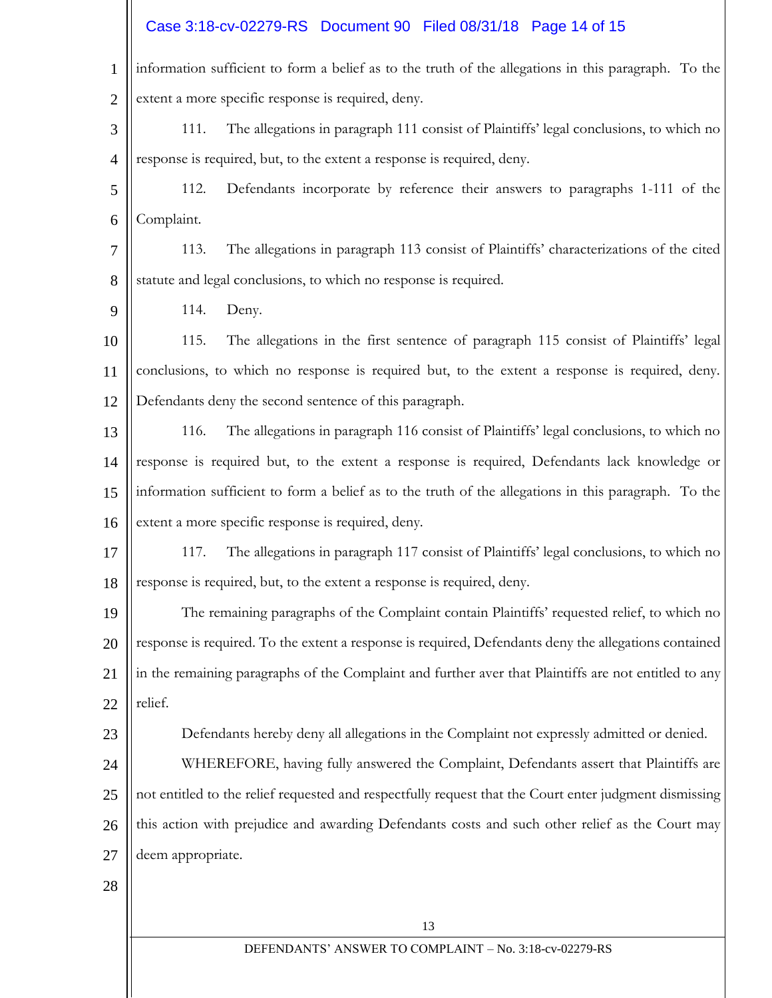#### 13 DEFENDANTS' ANSWER TO COMPLAINT – No. 3:18-cv-02279-RS 1 2 3 4 5 6 7 8 9 10 11 12 13 14 15 16 17 18 19 20 21 22 23 24 25 26 27 28 information sufficient to form a belief as to the truth of the allegations in this paragraph. To the extent a more specific response is required, deny. 111. The allegations in paragraph 111 consist of Plaintiffs' legal conclusions, to which no response is required, but, to the extent a response is required, deny. 112. Defendants incorporate by reference their answers to paragraphs 1-111 of the Complaint. 113. The allegations in paragraph 113 consist of Plaintiffs' characterizations of the cited statute and legal conclusions, to which no response is required. 114. Deny. 115. The allegations in the first sentence of paragraph 115 consist of Plaintiffs' legal conclusions, to which no response is required but, to the extent a response is required, deny. Defendants deny the second sentence of this paragraph. 116. The allegations in paragraph 116 consist of Plaintiffs' legal conclusions, to which no response is required but, to the extent a response is required, Defendants lack knowledge or information sufficient to form a belief as to the truth of the allegations in this paragraph. To the extent a more specific response is required, deny. 117. The allegations in paragraph 117 consist of Plaintiffs' legal conclusions, to which no response is required, but, to the extent a response is required, deny. The remaining paragraphs of the Complaint contain Plaintiffs' requested relief, to which no response is required. To the extent a response is required, Defendants deny the allegations contained in the remaining paragraphs of the Complaint and further aver that Plaintiffs are not entitled to any relief. Defendants hereby deny all allegations in the Complaint not expressly admitted or denied. WHEREFORE, having fully answered the Complaint, Defendants assert that Plaintiffs are not entitled to the relief requested and respectfully request that the Court enter judgment dismissing this action with prejudice and awarding Defendants costs and such other relief as the Court may deem appropriate. Case 3:18-cv-02279-RS Document 90 Filed 08/31/18 Page 14 of 15